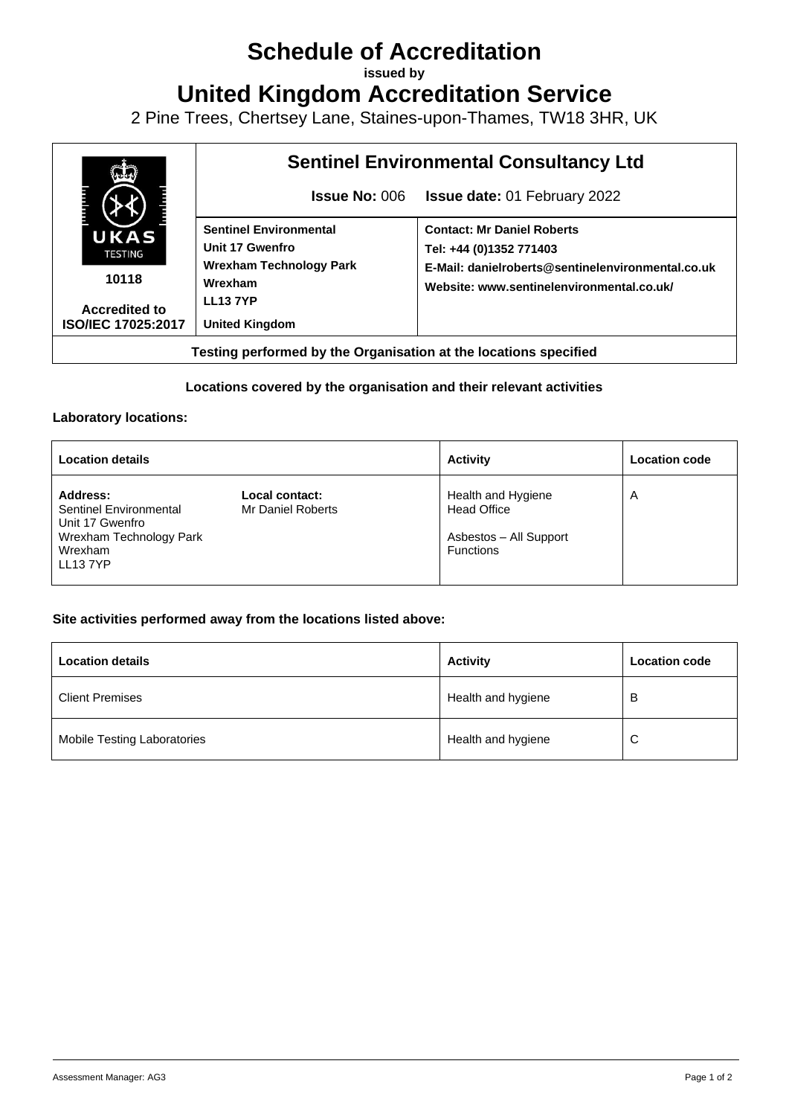# **Schedule of Accreditation**

**issued by**

**United Kingdom Accreditation Service**

2 Pine Trees, Chertsey Lane, Staines-upon-Thames, TW18 3HR, UK



## **Locations covered by the organisation and their relevant activities**

#### **Laboratory locations:**

| <b>Location details</b>                                                                                       |                                     | <b>Activity</b>                                                                        | <b>Location code</b> |
|---------------------------------------------------------------------------------------------------------------|-------------------------------------|----------------------------------------------------------------------------------------|----------------------|
| Address:<br><b>Sentinel Environmental</b><br>Unit 17 Gwenfro<br>Wrexham Technology Park<br>Wrexham<br>LL137YP | Local contact:<br>Mr Daniel Roberts | Health and Hygiene<br><b>Head Office</b><br>Asbestos - All Support<br><b>Functions</b> | A                    |

### **Site activities performed away from the locations listed above:**

| <b>Location details</b>     | <b>Activity</b>    | <b>Location code</b> |
|-----------------------------|--------------------|----------------------|
| <b>Client Premises</b>      | Health and hygiene | В                    |
| Mobile Testing Laboratories | Health and hygiene | C                    |